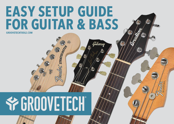### **EASY SETUP GUIDE FOR GUITAR & BASS GROOVETECHTOOLS.COM**

STRATOCAST

'ilisun

# **SPERDOVETECH®**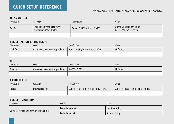#### **QUICK SETUP REFERENCE**

#### *\* Use the blanks to write in your brand-specific setup parameters, if applicable.*

#### **Truss Rod – Relief**

| Measure At | Condition                                                      | <b>Specification</b>          | <b>Notes</b>                                             |
|------------|----------------------------------------------------------------|-------------------------------|----------------------------------------------------------|
| 8th Fret   | Hold down first and last frets;<br>check clearance at 8th fret | Guitar: 0.010" / Bass: 0.015" | Guitar: Check on 6th string<br>Bass: Check on 4th string |
|            |                                                                |                               |                                                          |

#### **Bridge – Action (String Height)**

| Measure At | Condition                         | <b>Specification</b>              | <b>Notes</b> |
|------------|-----------------------------------|-----------------------------------|--------------|
| 17th fret  | Clearance between string and fret | Guitar: 5/64" (2mm) / Bass: 3/32" | Unfretted    |
|            |                                   |                                   |              |

#### **Nut**

| Measure At | Condition                                                 | Specification | <b>Notes</b> |
|------------|-----------------------------------------------------------|---------------|--------------|
| First fret | Clearance between string and fret $\vert$ 0.020" - 0.022" |               | Unfretted    |
|            |                                                           |               |              |

#### **Pickup Height**

| Measure At | Condition         | <b>Specification</b>                      | <b>Notes</b>                           |  |  |
|------------|-------------------|-------------------------------------------|----------------------------------------|--|--|
| Pickup     | Depress last fret | Guitar: 1/16" - 1/8" / Bass: 3/32" - 1/8" | Adjust for equal volume on all strings |  |  |
|            |                   |                                           |                                        |  |  |

#### **Bridge – Intonation**

| Condition                                 | Result             | <b>Notes</b>    |
|-------------------------------------------|--------------------|-----------------|
|                                           | Fretted note sharp | Lengthen string |
| Compare fretted and harmonic at 12th fret | Fretted note flat  | Shorten string  |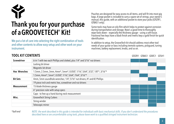## **Thank you for your purchase of a GrooveTech® Kit!**

We put a lot of care into selecting the right combination of tools and other contents to allow easy setup and other work on your instrument.

**Tool Kit Contents**

Pouches are designed for easy access to all items, and will fit into most gig bags. A large pocket is included to carry a spare set of strings, your owner's manual, this guide, with an additional pocket to store your picks (GTGTR1, GTBAS1 only).

Some tools may have an oily film which helps to protect against corrosion during transportation and storage. Now's a good time to thoroughly wipe tools down – especially the thickness gauge – using a soft tissue. Fractional hex keys have a black finish and metric keys a gold finish for quick identification.

In addition to setup, the GrooveTech kit should address most other tool needs of your guitar or bass including tremolo systems, pickguard, tuning machines, battery replacement, knobs, and so on.

GTGTR1 GTBAS1 GTATC1 GTSH1

| Screwdriver         | 6-in-1 with two each Phillips and slotted, plus 1/4" and 5/16" nut drivers |  |  |
|---------------------|----------------------------------------------------------------------------|--|--|
|                     | Locking bit driver                                                         |  |  |
|                     | Magnetic bit driver                                                        |  |  |
| <b>Hex Wrenches</b> | 1.5mm, 2.5mm, 3mm, 4mm*, 5mm*, 0.050", 1/16", 5/64", 3/32", 1/8"*, 3/16"*  |  |  |
|                     | 1.5mm, 4mm*, 5mm*, 0.050", 1/16", 5/64", 7/64", 3/16"*                     |  |  |
| <b>Bit Sets</b>     | 4mm, 5mm soundhole wrenches; 1/4", 5/16" nut drivers, #1 and #2 Phillips   |  |  |
|                     | 19 piece inch and metric hex, screwdriver and nut drivers                  |  |  |
| <b>Measurement</b>  | 15-blade thickness gauge                                                   |  |  |
|                     | 6" precision ruler with setup specs                                        |  |  |
|                     | Capo - to free up a hand during neck measurement                           |  |  |
| Misc.               | <b>GrooveTech String Cutters</b>                                           |  |  |
|                     | String winder                                                              |  |  |
|                     | Telescopic mirror                                                          |  |  |

*NOTE: the work described in this guide is intended for individuals with basic mechanical skills. If you don't understand the procedures described here or are uncomfortable using tools, please leave work to a qualified stringed instrument technician.* \**ball-end*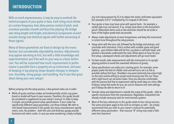#### **INTRODUCTION**

With so much expressiveness, it may be easy to overlook the technical aspects of your guitar or bass. Each string must vibrate at a certain frequency, frets allow precise control of pitch, neck curvature provides smooth and buzz-free playing, the bridge sets string length and height, and electrical components convert acoustic energy into electrical signals with further processing of those signals.

Many of these geometries are fixed at design by the manufacturer, but considerable adjustability remains. Adjustments may appear daunting at first, but with a little knowledge and experimentation you'll be well on your way as a basic technician. You will be surprised how much improvement in performance is possible from a properly set up instrument, and ease of keeping in top playing shape despite changes in temperature, humidity, string gauge, and handling. You'll also feel great about doing your own setups!

Before jumping into the setup process, a few general notes are in order:

• While all guitar and bass makes are fundamentally similar, any given brand or model will have its own nuances. Therefore, this guide should be considered a supplement to your owner's manual. In order to keep it simple, we provide general setup specifications. If your make has significantly different setup parameters, use those instead. We refer to inch-based measurements in this guide, but many manufacturers specify metric units. No problem – both the ruler and thickness gauge provide fractional and metric scales. In case you were wondering, simply multiply

any inch measurement by 25.4 to obtain the metric millimeter equivalent (for example, 0.015" multiplied by 25.4 equals 0.381mm).

- Your guitar or bass may have come with special tools for example, a socket-style truss rod wrench. If so, simply store them in the GrooveTech pouch. Redundant items such as hex wrenches should be set aside in favor of the higher grade tools we provide.
- Always make adjustments at room temperature, and keep the instrument in correct tune throughout the setup process.
- Setup starts with the truss rod, followed by the bridge and pickups, and concludes with intonation. Find a surface with suitable space and good lighting – your kitchen table will do fine. Lay down a soft bath towel, and position a few books underneath the neck. Allow about an hour for your first setup; subsequent checks and adjustments will go much faster.
- For best results, take measurements with the instrument in its upright playing position to avoid the unwanted influence of gravity.
- Setup specifications are really just a starting point. For example, some players prefer the feel of a flatter neck and will try to set it as flat as possible without fret buzz. Shredders may want extremely low action high on the neck and be willing to accept some buzzing near the nut. Those with a light touch can set action lower. Once you become comfortable with the process feel free to experiment, taking small steps at a time. After finding a setup that works for you, be sure to measure and note settings you'll always be able to return to it!
- Tremolo setup and adjustment is outside the scope of this guide refer to specific instructions from the manufacturer. Regardless, GrooveTech kits already include necessary tools for most tremolo systems.
- Most of the bass references in this guide relate to four-string versions. The same principles apply to five and six stringers as well – we simply recommend that you refer to your owner's manual for potentially different setup parameters - that massive "B" string may need a little extra fret clearance!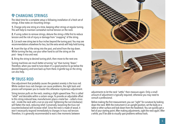#### **CHANGING STRINGS**

The ideal time for a complete setup is following installation of a fresh set of strings. A few notes on mounting strings:

**1.** Change only one string at a time, keeping other strings at regular tuning. This will help to maintain somewhat normal tension on the neck.

**2.** If using cutters to remove strings, detune the string a little first to reduce tension and the risk of injury or damage from "snapping" of the string.

**3.** Cut each new string two to four inches beyond the tuning post. You may see recommendations elsewhere for less, but the extra winds will help hold tuning.

**4.** Insert the tips of the string into the post, and wind from the top down. While turning the key, use your other hand to coil the string on the post – keep it nice and neat.

**5.** Bring the string to desired tuning pitch, then move to the next one.

Tuning machines are much better at tuning "up" than tuning "down." Therefore, when you need to tune down it's a good practice to go below the desired frequency and tune back up from there. A gentle tug on the string can also help.

#### **全TRUSS ROD**

One adjustment that probably causes the greatest anxiety is the truss rod. While random truss rod changes can cause problems, the right tools and process will empower you to master this otherwise mysterious adjustment.

String tension pulls on the neck, creating a slight upward bow. This is called "relief" and desirable within a certain range. To provide an adjustable offset to this string-induced bow, manufacturers place a metal bar – called a truss rod – inside the neck with a nut on one end. Tightening the nut (clockwise) will flatten the neck, reducing relief. Conversely, loosening the truss rod (counterclockwise) will increase relief. Since the neck is made of wood, it won't necessarily respond immediately to changes in truss rod tension. Therefore, it is generally recommended to wait a few moments between





adjustments to let the neck "settle," then measure again. Only a small amount of adjustment is typically required; otherwise you may need to consult a professional.

Before making the first measurement, you can "sight" for curvature by looking down the neck. With the instrument in an upright position, set the body on a table or other surface and look down from the headstock. You can quickly get a feel of your starting point. After making adjustments, sight the neck again. After a while, you'll be able to visually spot problems without tools.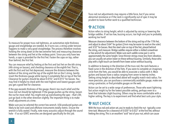

To measure for proper truss rod tightness, an automotive-style thickness gauge and straightedge are needed. As it turns out, a string under tension happens to make a very good straightedge. The process therefore involves holding the string down at the two extreme frets and measuring clearance between the string and fret at the midway point. Since you only have two hands, a capo is provided for the first fret. Fasten the capo on top, rather than behind, the first fret.

You can measure relief by fretting at the first and last fret on the 6th string (4th string on basses), and checking clearance at the eighth fret. That is, with the first and last fret depressed, measure the distance between the bottom of the string and the top of the eighth fret on the E string. Gently insert the thickness gauge while laying it completely flat on top of the fret. Clearance for guitars should be about 0.010," and 0.015" for basses. You may find it helpful to check with the next highest and lowest gauges until you get a good feel for clearance.

If the gap exceeds thickness of the gauge, there's too much relief and the truss rod nut should be tightened. If the gauge pushes up the string, loosen the nut for more relief. You might end up overshooting the spec – that's OK; just go back in the other direction slightly. The important thing is to make small adjustments at a time.

Make sure you've selected the correct hex wrench. USA-produced guitars are likely to be inch-sized and offshore instruments totally metric. Ensure the wrench is fully seated. Finally, note many acoustics adjust through the sound hole – if so our GTATC wrenches are designed specifically for this job.

Truss rod nut adjustments may require a little force, but if you sense abnormal resistance or if the neck is significantly out of spec it may be prudent to leave further work to a qualified technician.

#### **全ACTION**

Action refers to string height, which is adjusted by raising or lowering the bridge saddles. If set too low, buzzing occurs; too high and you're probably working too hard!

Measure clearance between the bottom of the string and top of the 17th fret, and adjust to about 5/64" for guitars (2mm may be easier to read on the ruler) and 3/32" for basses. Rest the steel ruler on top of the fret, placed behind the string, and measure. Bridge saddles require either a slotted screwdriver or hex wrench for adjustment. Make sure each saddle screw pair is set to approximately the same height. Since thinner strings move less from vibration, you can usually set action lower on these without buzzing. Similarly, those who play with a light touch can benefit from lower action without buzzing.

In addition to bowing in the direction of the truss rod, the neck features a fixed curve in the direction of the frets. If you were to complete an imaginary circle from the frets, you would be able to associate a radius with it. Most guitars and basses have a radius ranging from seven to twenty inches. Setting string height as described above will roughly match neck radius. For more precision, you can purchase a commercially available gauge, make one using a protractor, or find printable gauges on the web.

Action can be set to a wide range of preferences. Those who want lightning fast action might try for the lowest possible setting, perhaps even to a level that tolerates slight buzzing. Others may be more comfortable with a higher setting. The key is to experiment and find what best suits your style.

#### **WAND THE CK**

With the truss rod and action set, you're ready to check the nut - typically a onetime task. Measure for a clearance of 0.020" to 0.022" at the first fret, without fretting the string. This is an excellent "acid" test of your nut, which can cause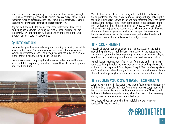problems on an otherwise properly set up instrument. For example, you might set up a bass completely to spec, and be driven crazy by a buzzy E string. The nut check may reveal an excessively deep slot as the culprit. Alternatively, too much clearance will prevent action from being set sufficiently low.

Any nut work should be left to an experienced professional. However, if your string sits too low in the string slot with resultant buzzing, you can temporarily solve the problem by placing a shim under the string. Small pieces of business card stock work fine.

#### **INTONATION**

The other bridge adjustment sets length of the string by moving the saddle forward or backward. Proper intonation assures correct tuning increments over the entire fretboard, and is easily adjusted with the aid of an electronic tuner - preferably one with a needle in the display.

The process involves comparing tune between a fretted note and harmonic at the twelfth fret. A properly intonated string will have the same frequency under both conditions.



With the tuner ready, depress the string at the twelfth fret and observe the output frequency. Then, play a harmonic (with your finger only slightly touching the string) at the twelfth fret and note that frequency. If the fretted note is sharp, increase string length at the bridge; if flat, decrease length. Most bridges are adjusted using a Phillips or slotted screwdriver – make relatively small adjustments, retune, and check intonation again. If you're shortening the string, you may need to tap the top of the screwdriver handle to make sure the saddle moves forward; otherwise the adjusted screw head may not be seated against the bridge chassis.

#### **PICKUP HEIGHT**

Virtually all pickups can be adjusted, and it's not unusual for the treble side of the pickup to sit slightly closer to the string. Pickup adjustments are interactive, requiring listening through an amp over a range of playing conditions, and fine tuning for uniform volume levels across all strings.

Typical clearance ranges from 1/16" to 1/8" for guitars, and 3/32" to 1/8" for basses. Using the ruler, the measurement is made at the pickup's pole with the last fret depressed. Bass players with split "Precision" style pickups don't need to worry about having both pickup surfaces on the same plane – start with a setting using the ruler, and fine tune for uniform volume output.

#### $\frac{1}{2}$  **BECOME YOUR OWN BASIC TECHNICIAN**

After you've completed a few setups, you should feel empowered! Not only will there be a sense of satisfaction from doing your own setup, but you'll become more sensitive to the need for future adjustments. The truss rod is the most likely ongoing adjustment, with minor tweaks often necessary during seasonal temperature or humidity changes.

We sincerely hope this guide has been helpful, and welcome your feedback. Thanks for reading...